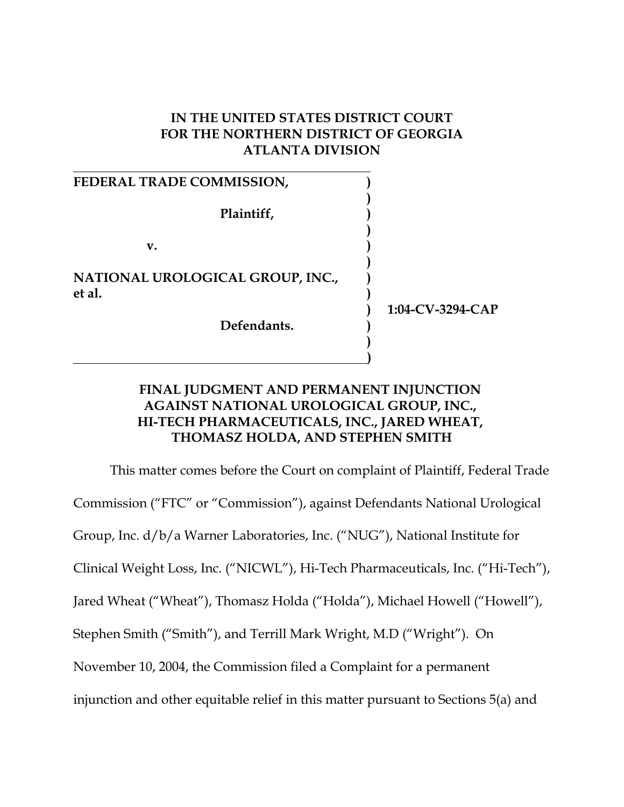#### **IN THE UNITED STATES DISTRICT COURT FOR THE NORTHERN DISTRICT OF GEORGIA ATLANTA DIVISION**

| <b>FEDERAL TRADE COMMISSION,</b>           |                     |
|--------------------------------------------|---------------------|
| Plaintiff,                                 |                     |
| v.                                         |                     |
| NATIONAL UROLOGICAL GROUP, INC.,<br>et al. |                     |
| Defendants.                                | $1:04$ -CV-3294-CAP |
|                                            |                     |

#### **FINAL JUDGMENT AND PERMANENT INJUNCTION AGAINST NATIONAL UROLOGICAL GROUP, INC., HI-TECH PHARMACEUTICALS, INC., JARED WHEAT, THOMASZ HOLDA, AND STEPHEN SMITH**

This matter comes before the Court on complaint of Plaintiff, Federal Trade Commission ("FTC" or "Commission"), against Defendants National Urological Group, Inc. d/b/a Warner Laboratories, Inc. ("NUG"), National Institute for Clinical Weight Loss, Inc. ("NICWL"), Hi-Tech Pharmaceuticals, Inc. ("Hi-Tech"), Jared Wheat ("Wheat"), Thomasz Holda ("Holda"), Michael Howell ("Howell"), Stephen Smith ("Smith"), and Terrill Mark Wright, M.D ("Wright"). On November 10, 2004, the Commission filed a Complaint for a permanent injunction and other equitable relief in this matter pursuant to Sections 5(a) and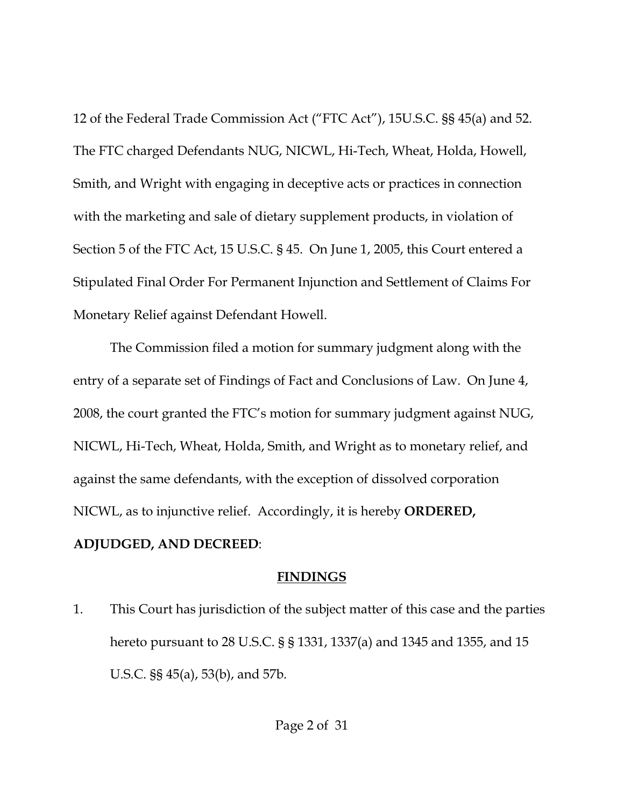12 of the Federal Trade Commission Act ("FTC Act"), 15U.S.C. §§ 45(a) and 52. The FTC charged Defendants NUG, NICWL, Hi-Tech, Wheat, Holda, Howell, Smith, and Wright with engaging in deceptive acts or practices in connection with the marketing and sale of dietary supplement products, in violation of Section 5 of the FTC Act, 15 U.S.C. § 45. On June 1, 2005, this Court entered a Stipulated Final Order For Permanent Injunction and Settlement of Claims For Monetary Relief against Defendant Howell.

The Commission filed a motion for summary judgment along with the entry of a separate set of Findings of Fact and Conclusions of Law. On June 4, 2008, the court granted the FTC's motion for summary judgment against NUG, NICWL, Hi-Tech, Wheat, Holda, Smith, and Wright as to monetary relief, and against the same defendants, with the exception of dissolved corporation NICWL, as to injunctive relief. Accordingly, it is hereby **ORDERED, ADJUDGED, AND DECREED**:

#### **FINDINGS**

1. This Court has jurisdiction of the subject matter of this case and the parties hereto pursuant to 28 U.S.C. § § 1331, 1337(a) and 1345 and 1355, and 15 U.S.C. §§ 45(a), 53(b), and 57b.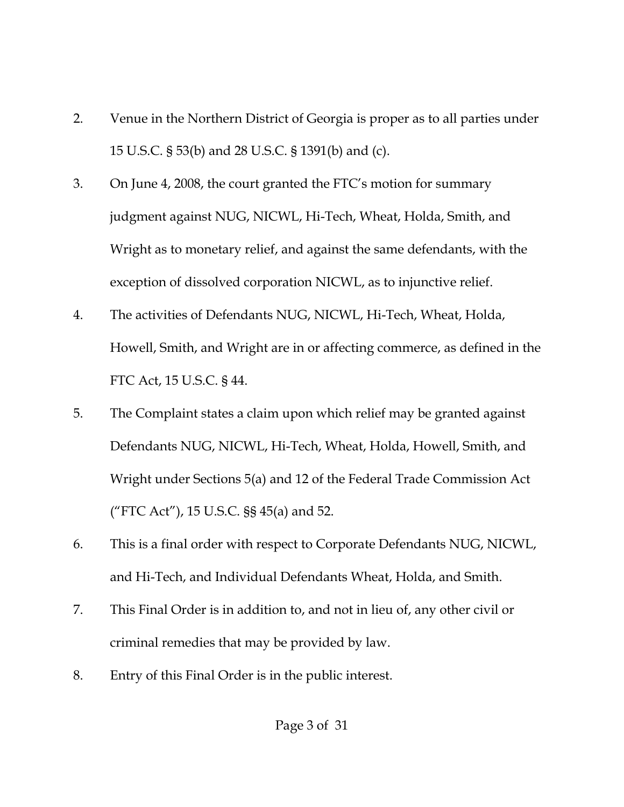- 2. Venue in the Northern District of Georgia is proper as to all parties under 15 U.S.C. § 53(b) and 28 U.S.C. § 1391(b) and (c).
- 3. On June 4, 2008, the court granted the FTC's motion for summary judgment against NUG, NICWL, Hi-Tech, Wheat, Holda, Smith, and Wright as to monetary relief, and against the same defendants, with the exception of dissolved corporation NICWL, as to injunctive relief.
- 4. The activities of Defendants NUG, NICWL, Hi-Tech, Wheat, Holda, Howell, Smith, and Wright are in or affecting commerce, as defined in the FTC Act, 15 U.S.C. § 44.
- 5. The Complaint states a claim upon which relief may be granted against Defendants NUG, NICWL, Hi-Tech, Wheat, Holda, Howell, Smith, and Wright under Sections 5(a) and 12 of the Federal Trade Commission Act ("FTC Act"), 15 U.S.C. §§ 45(a) and 52.
- 6. This is a final order with respect to Corporate Defendants NUG, NICWL, and Hi-Tech, and Individual Defendants Wheat, Holda, and Smith.
- 7. This Final Order is in addition to, and not in lieu of, any other civil or criminal remedies that may be provided by law.
- 8. Entry of this Final Order is in the public interest.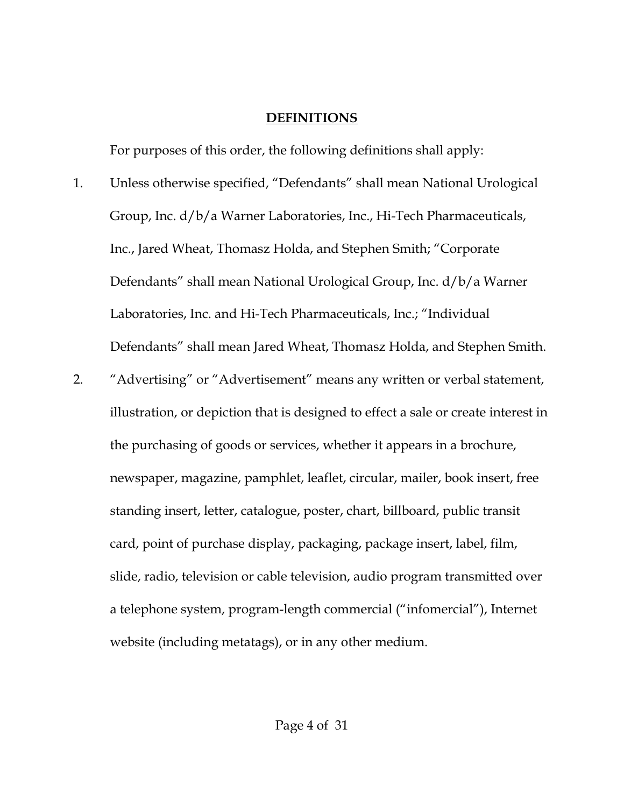#### **DEFINITIONS**

For purposes of this order, the following definitions shall apply:

- 1. Unless otherwise specified, "Defendants" shall mean National Urological Group, Inc. d/b/a Warner Laboratories, Inc., Hi-Tech Pharmaceuticals, Inc., Jared Wheat, Thomasz Holda, and Stephen Smith; "Corporate Defendants" shall mean National Urological Group, Inc. d/b/a Warner Laboratories, Inc. and Hi-Tech Pharmaceuticals, Inc.; "Individual Defendants" shall mean Jared Wheat, Thomasz Holda, and Stephen Smith.
- 2. "Advertising" or "Advertisement" means any written or verbal statement, illustration, or depiction that is designed to effect a sale or create interest in the purchasing of goods or services, whether it appears in a brochure, newspaper, magazine, pamphlet, leaflet, circular, mailer, book insert, free standing insert, letter, catalogue, poster, chart, billboard, public transit card, point of purchase display, packaging, package insert, label, film, slide, radio, television or cable television, audio program transmitted over a telephone system, program-length commercial ("infomercial"), Internet website (including metatags), or in any other medium.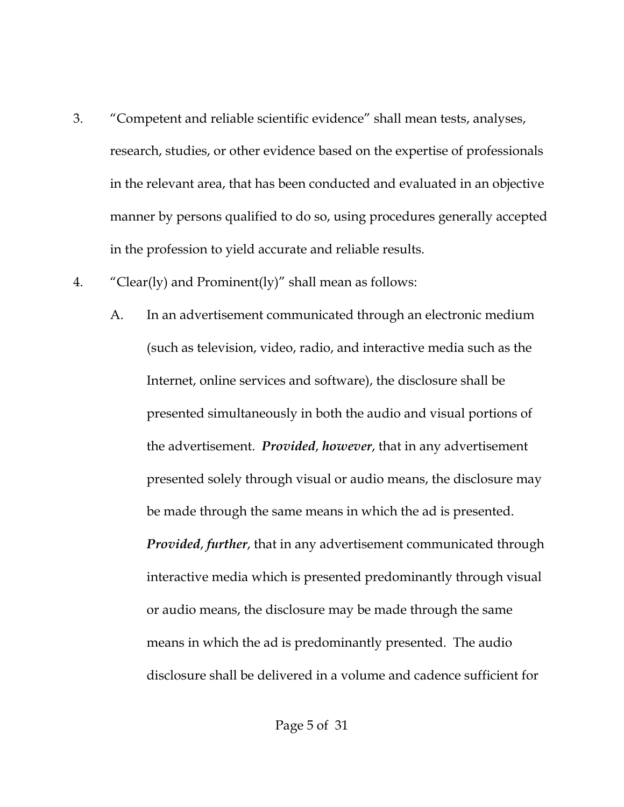- 3. "Competent and reliable scientific evidence" shall mean tests, analyses, research, studies, or other evidence based on the expertise of professionals in the relevant area, that has been conducted and evaluated in an objective manner by persons qualified to do so, using procedures generally accepted in the profession to yield accurate and reliable results.
- 4. "Clear(ly) and Prominent(ly)" shall mean as follows:
	- A. In an advertisement communicated through an electronic medium (such as television, video, radio, and interactive media such as the Internet, online services and software), the disclosure shall be presented simultaneously in both the audio and visual portions of the advertisement. *Provided*, *however*, that in any advertisement presented solely through visual or audio means, the disclosure may be made through the same means in which the ad is presented. *Provided*, *further*, that in any advertisement communicated through interactive media which is presented predominantly through visual or audio means, the disclosure may be made through the same means in which the ad is predominantly presented. The audio disclosure shall be delivered in a volume and cadence sufficient for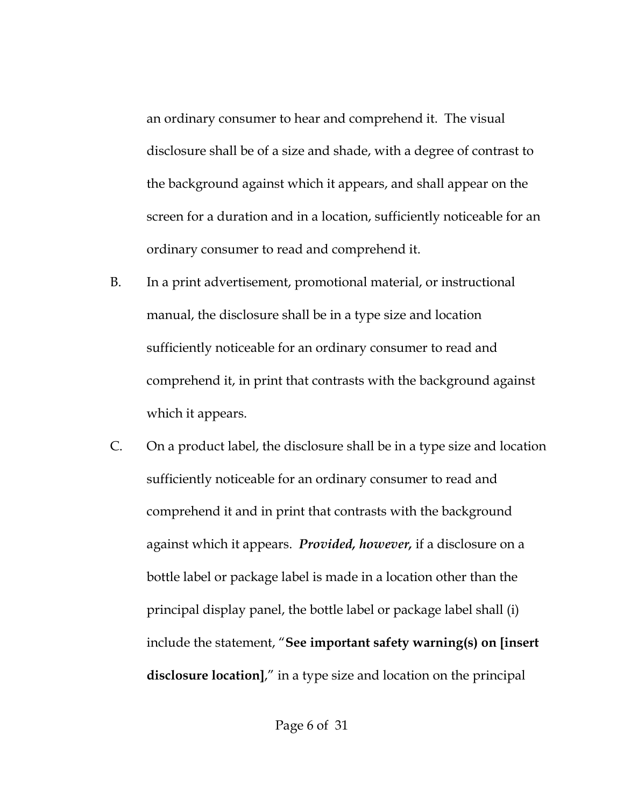an ordinary consumer to hear and comprehend it. The visual disclosure shall be of a size and shade, with a degree of contrast to the background against which it appears, and shall appear on the screen for a duration and in a location, sufficiently noticeable for an ordinary consumer to read and comprehend it.

- B. In a print advertisement, promotional material, or instructional manual, the disclosure shall be in a type size and location sufficiently noticeable for an ordinary consumer to read and comprehend it, in print that contrasts with the background against which it appears.
- C. On a product label, the disclosure shall be in a type size and location sufficiently noticeable for an ordinary consumer to read and comprehend it and in print that contrasts with the background against which it appears. *Provided, however,* if a disclosure on a bottle label or package label is made in a location other than the principal display panel, the bottle label or package label shall (i) include the statement, "**See important safety warning(s) on [insert disclosure location]**," in a type size and location on the principal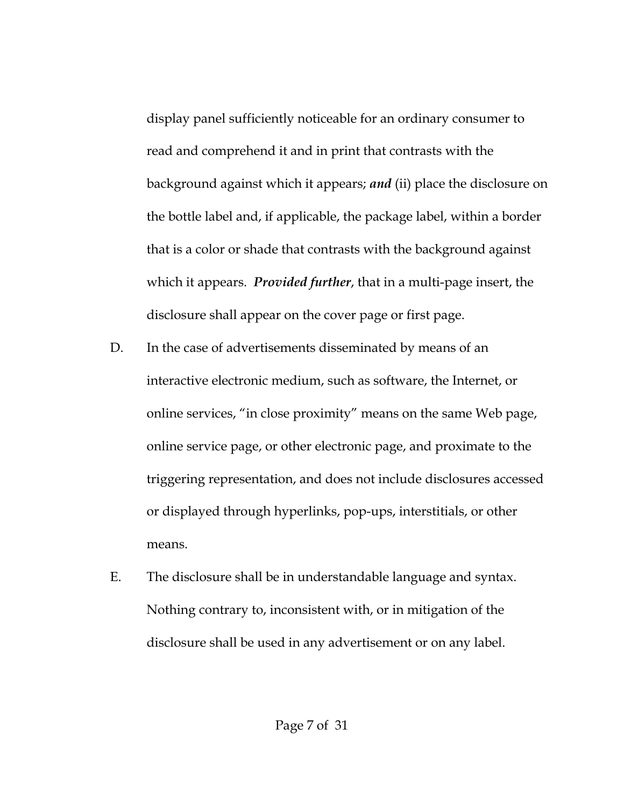display panel sufficiently noticeable for an ordinary consumer to read and comprehend it and in print that contrasts with the background against which it appears; *and* (ii) place the disclosure on the bottle label and, if applicable, the package label, within a border that is a color or shade that contrasts with the background against which it appears. *Provided further*, that in a multi-page insert, the disclosure shall appear on the cover page or first page.

- D. In the case of advertisements disseminated by means of an interactive electronic medium, such as software, the Internet, or online services, "in close proximity" means on the same Web page, online service page, or other electronic page, and proximate to the triggering representation, and does not include disclosures accessed or displayed through hyperlinks, pop-ups, interstitials, or other means.
- E. The disclosure shall be in understandable language and syntax. Nothing contrary to, inconsistent with, or in mitigation of the disclosure shall be used in any advertisement or on any label.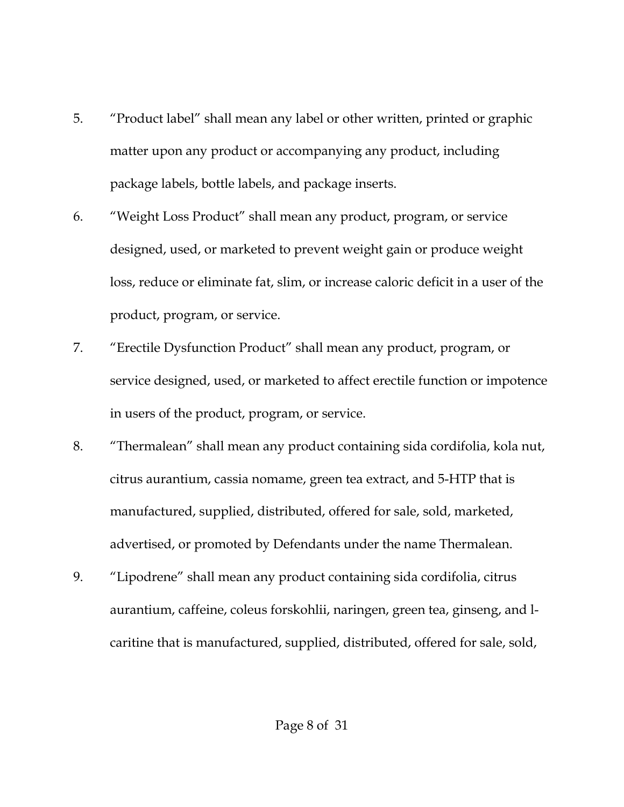- 5. "Product label" shall mean any label or other written, printed or graphic matter upon any product or accompanying any product, including package labels, bottle labels, and package inserts.
- 6. "Weight Loss Product" shall mean any product, program, or service designed, used, or marketed to prevent weight gain or produce weight loss, reduce or eliminate fat, slim, or increase caloric deficit in a user of the product, program, or service.
- 7. "Erectile Dysfunction Product" shall mean any product, program, or service designed, used, or marketed to affect erectile function or impotence in users of the product, program, or service.
- 8. "Thermalean" shall mean any product containing sida cordifolia, kola nut, citrus aurantium, cassia nomame, green tea extract, and 5-HTP that is manufactured, supplied, distributed, offered for sale, sold, marketed, advertised, or promoted by Defendants under the name Thermalean.
- 9. "Lipodrene" shall mean any product containing sida cordifolia, citrus aurantium, caffeine, coleus forskohlii, naringen, green tea, ginseng, and lcaritine that is manufactured, supplied, distributed, offered for sale, sold,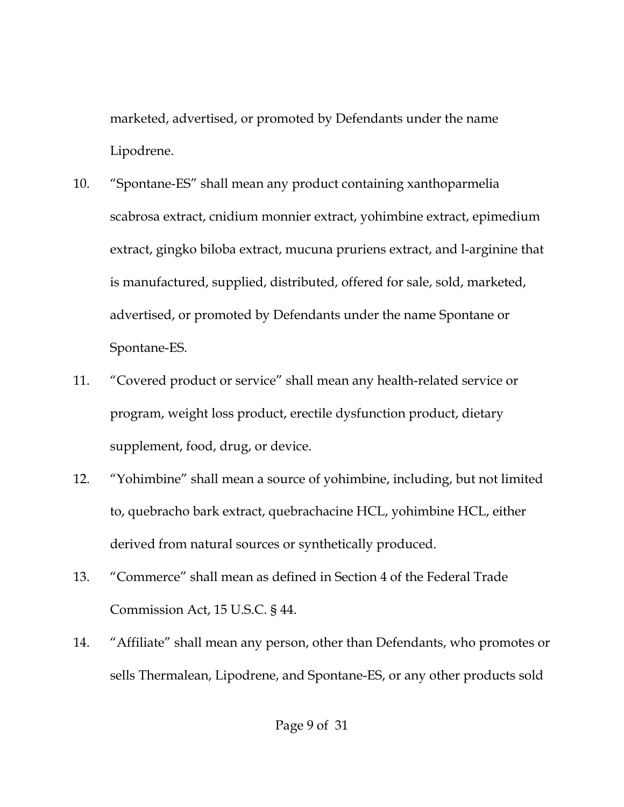marketed, advertised, or promoted by Defendants under the name Lipodrene.

- 10. "Spontane-ES" shall mean any product containing xanthoparmelia scabrosa extract, cnidium monnier extract, yohimbine extract, epimedium extract, gingko biloba extract, mucuna pruriens extract, and l-arginine that is manufactured, supplied, distributed, offered for sale, sold, marketed, advertised, or promoted by Defendants under the name Spontane or Spontane-ES.
- 11. "Covered product or service" shall mean any health-related service or program, weight loss product, erectile dysfunction product, dietary supplement, food, drug, or device.
- 12. "Yohimbine" shall mean a source of yohimbine, including, but not limited to, quebracho bark extract, quebrachacine HCL, yohimbine HCL, either derived from natural sources or synthetically produced.
- 13. "Commerce" shall mean as defined in Section 4 of the Federal Trade Commission Act, 15 U.S.C. § 44.
- 14. "Affiliate" shall mean any person, other than Defendants, who promotes or sells Thermalean, Lipodrene, and Spontane-ES, or any other products sold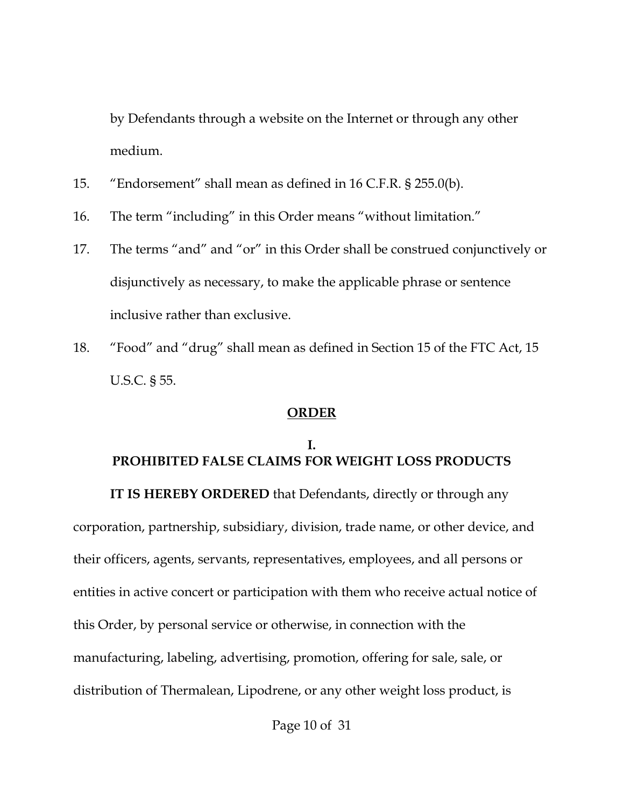by Defendants through a website on the Internet or through any other medium.

- 15. "Endorsement" shall mean as defined in 16 C.F.R. § 255.0(b).
- 16. The term "including" in this Order means "without limitation."
- 17. The terms "and" and "or" in this Order shall be construed conjunctively or disjunctively as necessary, to make the applicable phrase or sentence inclusive rather than exclusive.
- 18. "Food" and "drug" shall mean as defined in Section 15 of the FTC Act, 15 U.S.C. § 55.

## **ORDER**

# **I. PROHIBITED FALSE CLAIMS FOR WEIGHT LOSS PRODUCTS**

**IT IS HEREBY ORDERED** that Defendants, directly or through any corporation, partnership, subsidiary, division, trade name, or other device, and their officers, agents, servants, representatives, employees, and all persons or entities in active concert or participation with them who receive actual notice of this Order, by personal service or otherwise, in connection with the manufacturing, labeling, advertising, promotion, offering for sale, sale, or distribution of Thermalean, Lipodrene, or any other weight loss product, is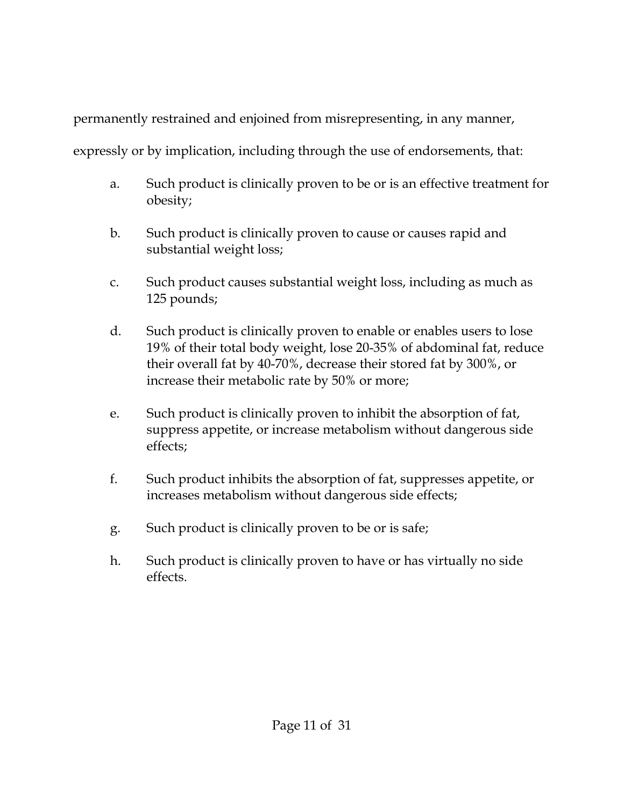permanently restrained and enjoined from misrepresenting, in any manner,

expressly or by implication, including through the use of endorsements, that:

- a. Such product is clinically proven to be or is an effective treatment for obesity;
- b. Such product is clinically proven to cause or causes rapid and substantial weight loss;
- c. Such product causes substantial weight loss, including as much as 125 pounds;
- d. Such product is clinically proven to enable or enables users to lose 19% of their total body weight, lose 20-35% of abdominal fat, reduce their overall fat by 40-70%, decrease their stored fat by 300%, or increase their metabolic rate by 50% or more;
- e. Such product is clinically proven to inhibit the absorption of fat, suppress appetite, or increase metabolism without dangerous side effects;
- f. Such product inhibits the absorption of fat, suppresses appetite, or increases metabolism without dangerous side effects;
- g. Such product is clinically proven to be or is safe;
- h. Such product is clinically proven to have or has virtually no side effects.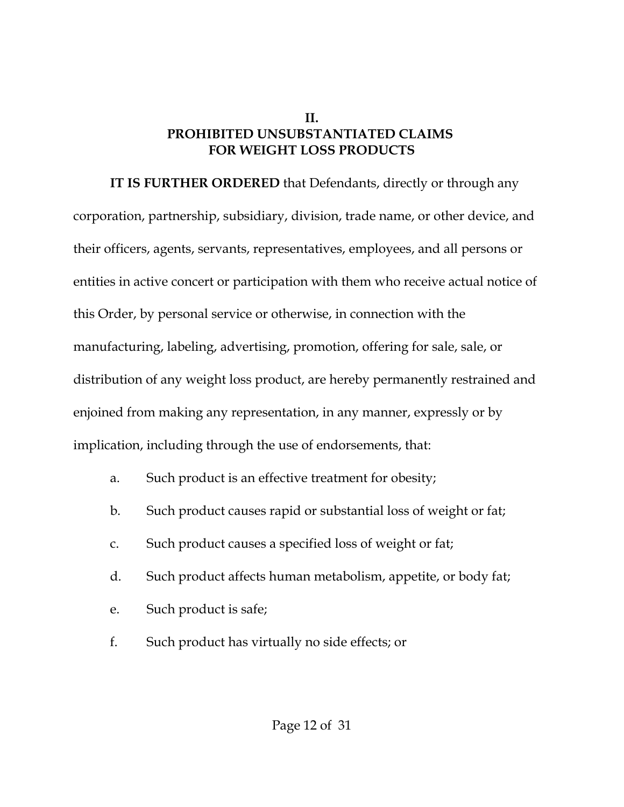#### **II. PROHIBITED UNSUBSTANTIATED CLAIMS FOR WEIGHT LOSS PRODUCTS**

**IT IS FURTHER ORDERED** that Defendants, directly or through any corporation, partnership, subsidiary, division, trade name, or other device, and their officers, agents, servants, representatives, employees, and all persons or entities in active concert or participation with them who receive actual notice of this Order, by personal service or otherwise, in connection with the manufacturing, labeling, advertising, promotion, offering for sale, sale, or distribution of any weight loss product, are hereby permanently restrained and enjoined from making any representation, in any manner, expressly or by implication, including through the use of endorsements, that:

- a. Such product is an effective treatment for obesity;
- b. Such product causes rapid or substantial loss of weight or fat;
- c. Such product causes a specified loss of weight or fat;
- d. Such product affects human metabolism, appetite, or body fat;
- e. Such product is safe;
- f. Such product has virtually no side effects; or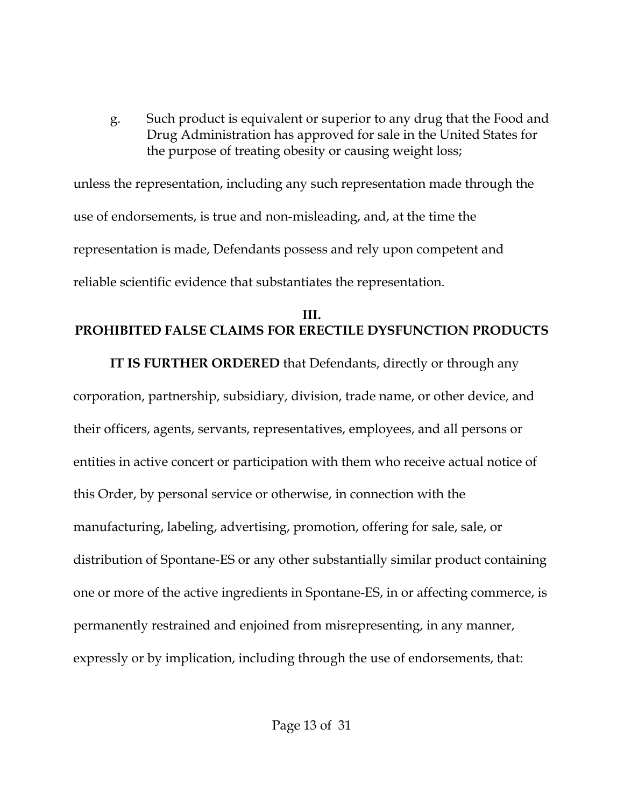g. Such product is equivalent or superior to any drug that the Food and Drug Administration has approved for sale in the United States for the purpose of treating obesity or causing weight loss;

unless the representation, including any such representation made through the use of endorsements, is true and non-misleading, and, at the time the representation is made, Defendants possess and rely upon competent and reliable scientific evidence that substantiates the representation.

## **III. PROHIBITED FALSE CLAIMS FOR ERECTILE DYSFUNCTION PRODUCTS**

**IT IS FURTHER ORDERED** that Defendants, directly or through any corporation, partnership, subsidiary, division, trade name, or other device, and their officers, agents, servants, representatives, employees, and all persons or entities in active concert or participation with them who receive actual notice of this Order, by personal service or otherwise, in connection with the manufacturing, labeling, advertising, promotion, offering for sale, sale, or distribution of Spontane-ES or any other substantially similar product containing one or more of the active ingredients in Spontane-ES, in or affecting commerce, is permanently restrained and enjoined from misrepresenting, in any manner, expressly or by implication, including through the use of endorsements, that: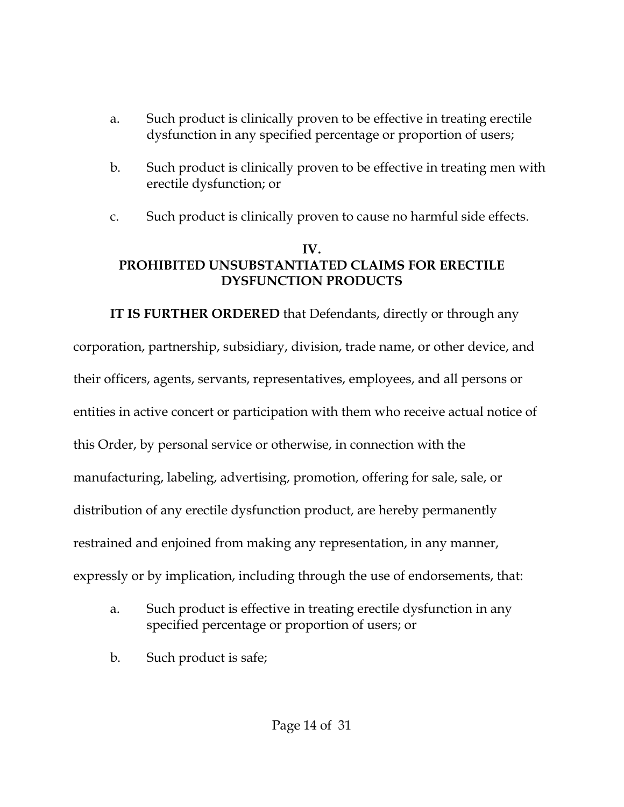- a. Such product is clinically proven to be effective in treating erectile dysfunction in any specified percentage or proportion of users;
- b. Such product is clinically proven to be effective in treating men with erectile dysfunction; or
- c. Such product is clinically proven to cause no harmful side effects.

## **IV. PROHIBITED UNSUBSTANTIATED CLAIMS FOR ERECTILE DYSFUNCTION PRODUCTS**

**IT IS FURTHER ORDERED** that Defendants, directly or through any corporation, partnership, subsidiary, division, trade name, or other device, and their officers, agents, servants, representatives, employees, and all persons or entities in active concert or participation with them who receive actual notice of this Order, by personal service or otherwise, in connection with the manufacturing, labeling, advertising, promotion, offering for sale, sale, or distribution of any erectile dysfunction product, are hereby permanently restrained and enjoined from making any representation, in any manner, expressly or by implication, including through the use of endorsements, that:

- a. Such product is effective in treating erectile dysfunction in any specified percentage or proportion of users; or
- b. Such product is safe;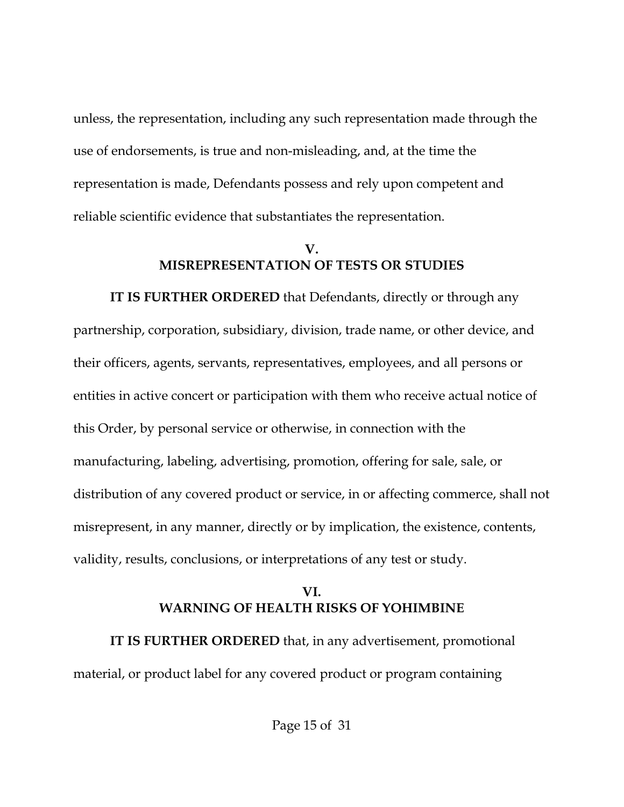unless, the representation, including any such representation made through the use of endorsements, is true and non-misleading, and, at the time the representation is made, Defendants possess and rely upon competent and reliable scientific evidence that substantiates the representation.

## **V. MISREPRESENTATION OF TESTS OR STUDIES**

**IT IS FURTHER ORDERED** that Defendants, directly or through any partnership, corporation, subsidiary, division, trade name, or other device, and their officers, agents, servants, representatives, employees, and all persons or entities in active concert or participation with them who receive actual notice of this Order, by personal service or otherwise, in connection with the manufacturing, labeling, advertising, promotion, offering for sale, sale, or distribution of any covered product or service, in or affecting commerce, shall not misrepresent, in any manner, directly or by implication, the existence, contents, validity, results, conclusions, or interpretations of any test or study.

## **VI. WARNING OF HEALTH RISKS OF YOHIMBINE**

**IT IS FURTHER ORDERED** that, in any advertisement, promotional material, or product label for any covered product or program containing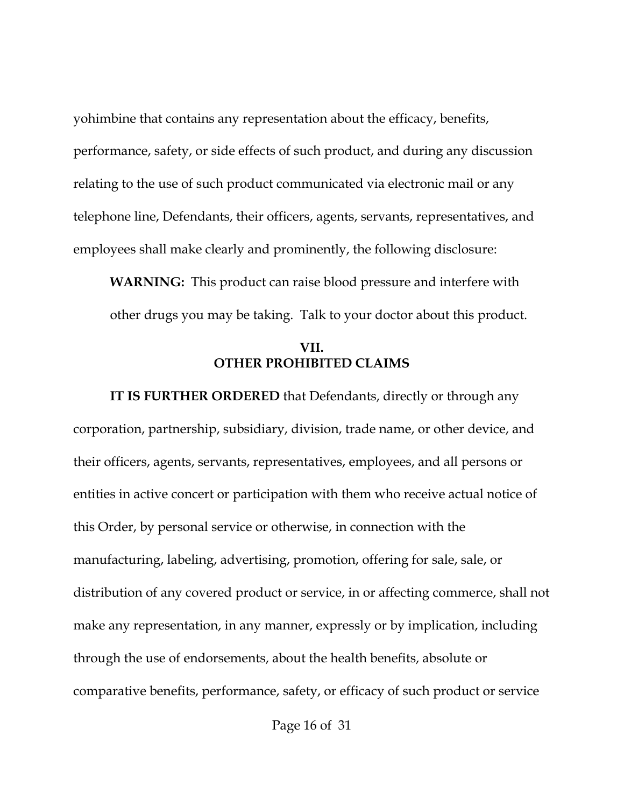yohimbine that contains any representation about the efficacy, benefits, performance, safety, or side effects of such product, and during any discussion relating to the use of such product communicated via electronic mail or any telephone line, Defendants, their officers, agents, servants, representatives, and employees shall make clearly and prominently, the following disclosure:

**WARNING:** This product can raise blood pressure and interfere with other drugs you may be taking. Talk to your doctor about this product.

### **VII. OTHER PROHIBITED CLAIMS**

**IT IS FURTHER ORDERED** that Defendants, directly or through any corporation, partnership, subsidiary, division, trade name, or other device, and their officers, agents, servants, representatives, employees, and all persons or entities in active concert or participation with them who receive actual notice of this Order, by personal service or otherwise, in connection with the manufacturing, labeling, advertising, promotion, offering for sale, sale, or distribution of any covered product or service, in or affecting commerce, shall not make any representation, in any manner, expressly or by implication, including through the use of endorsements, about the health benefits, absolute or comparative benefits, performance, safety, or efficacy of such product or service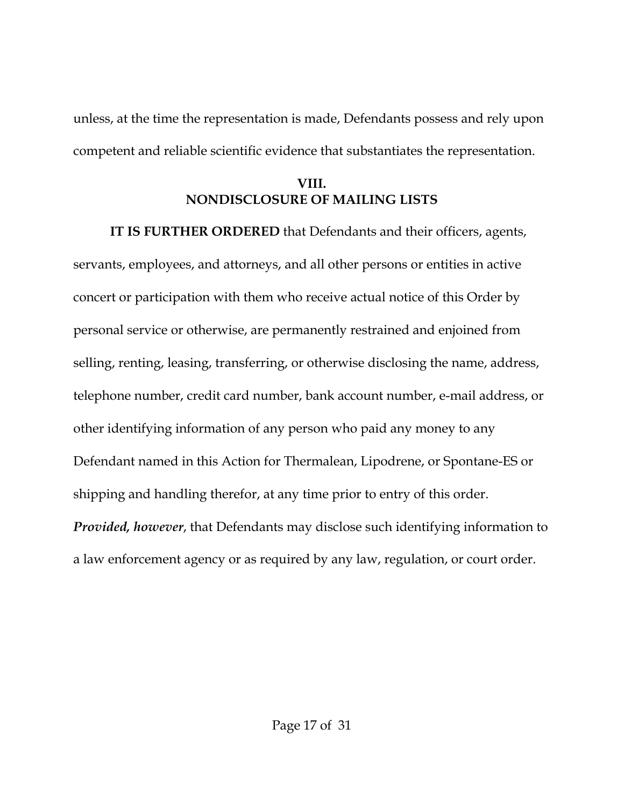unless, at the time the representation is made, Defendants possess and rely upon competent and reliable scientific evidence that substantiates the representation.

## **VIII. NONDISCLOSURE OF MAILING LISTS**

**IT IS FURTHER ORDERED** that Defendants and their officers, agents, servants, employees, and attorneys, and all other persons or entities in active concert or participation with them who receive actual notice of this Order by personal service or otherwise, are permanently restrained and enjoined from selling, renting, leasing, transferring, or otherwise disclosing the name, address, telephone number, credit card number, bank account number, e-mail address, or other identifying information of any person who paid any money to any Defendant named in this Action for Thermalean, Lipodrene, or Spontane-ES or shipping and handling therefor, at any time prior to entry of this order. *Provided, however*, that Defendants may disclose such identifying information to a law enforcement agency or as required by any law, regulation, or court order.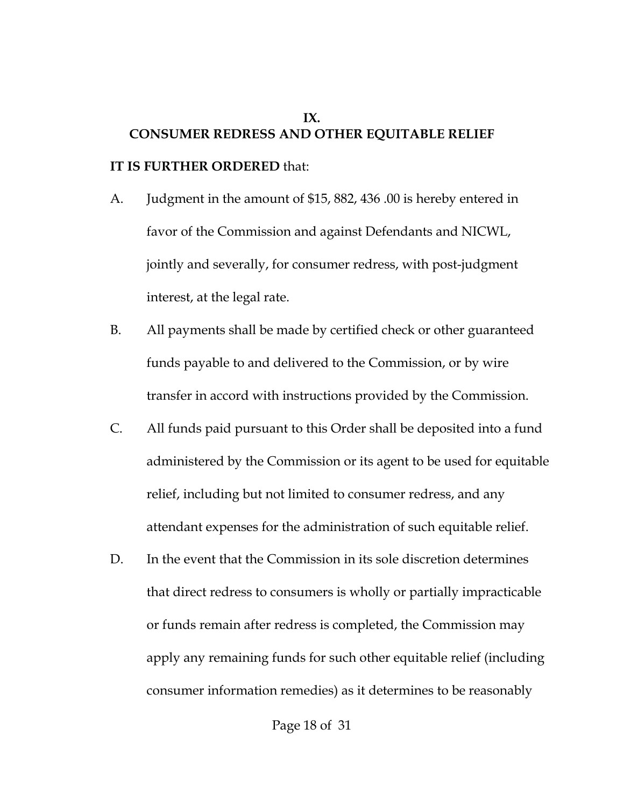# **IX. CONSUMER REDRESS AND OTHER EQUITABLE RELIEF**

#### **IT IS FURTHER ORDERED** that:

- A. Judgment in the amount of \$15, 882, 436 .00 is hereby entered in favor of the Commission and against Defendants and NICWL, jointly and severally, for consumer redress, with post-judgment interest, at the legal rate.
- B. All payments shall be made by certified check or other guaranteed funds payable to and delivered to the Commission, or by wire transfer in accord with instructions provided by the Commission.
- C. All funds paid pursuant to this Order shall be deposited into a fund administered by the Commission or its agent to be used for equitable relief, including but not limited to consumer redress, and any attendant expenses for the administration of such equitable relief.
- D. In the event that the Commission in its sole discretion determines that direct redress to consumers is wholly or partially impracticable or funds remain after redress is completed, the Commission may apply any remaining funds for such other equitable relief (including consumer information remedies) as it determines to be reasonably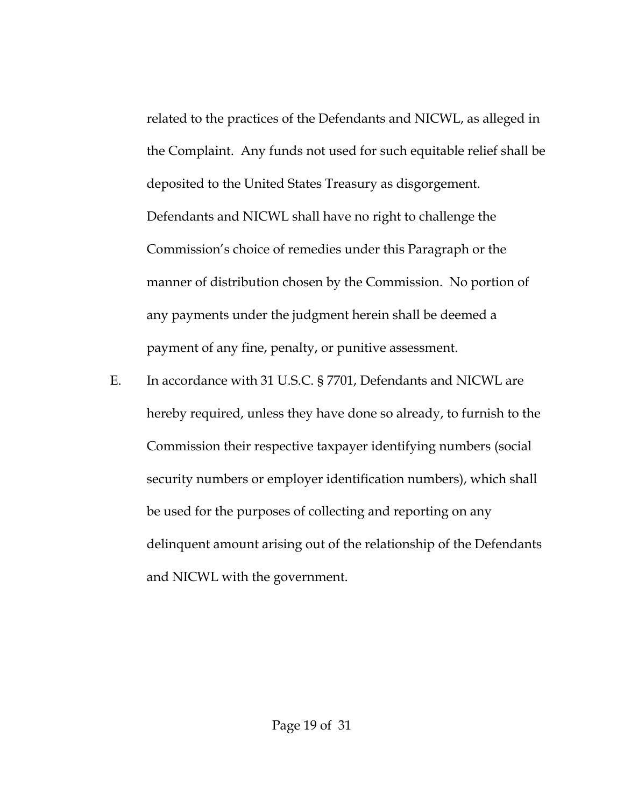related to the practices of the Defendants and NICWL, as alleged in the Complaint. Any funds not used for such equitable relief shall be deposited to the United States Treasury as disgorgement. Defendants and NICWL shall have no right to challenge the Commission's choice of remedies under this Paragraph or the manner of distribution chosen by the Commission. No portion of any payments under the judgment herein shall be deemed a payment of any fine, penalty, or punitive assessment.

E. In accordance with 31 U.S.C. § 7701, Defendants and NICWL are hereby required, unless they have done so already, to furnish to the Commission their respective taxpayer identifying numbers (social security numbers or employer identification numbers), which shall be used for the purposes of collecting and reporting on any delinquent amount arising out of the relationship of the Defendants and NICWL with the government.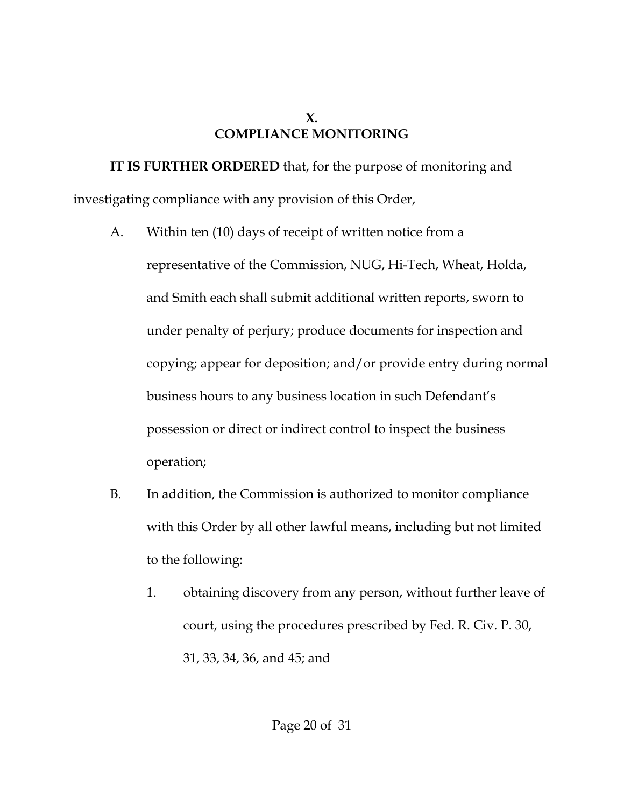## **X. COMPLIANCE MONITORING**

**IT IS FURTHER ORDERED** that, for the purpose of monitoring and investigating compliance with any provision of this Order,

A. Within ten (10) days of receipt of written notice from a

representative of the Commission, NUG, Hi-Tech, Wheat, Holda, and Smith each shall submit additional written reports, sworn to under penalty of perjury; produce documents for inspection and copying; appear for deposition; and/or provide entry during normal business hours to any business location in such Defendant's possession or direct or indirect control to inspect the business operation;

- B. In addition, the Commission is authorized to monitor compliance with this Order by all other lawful means, including but not limited to the following:
	- 1. obtaining discovery from any person, without further leave of court, using the procedures prescribed by Fed. R. Civ. P. 30, 31, 33, 34, 36, and 45; and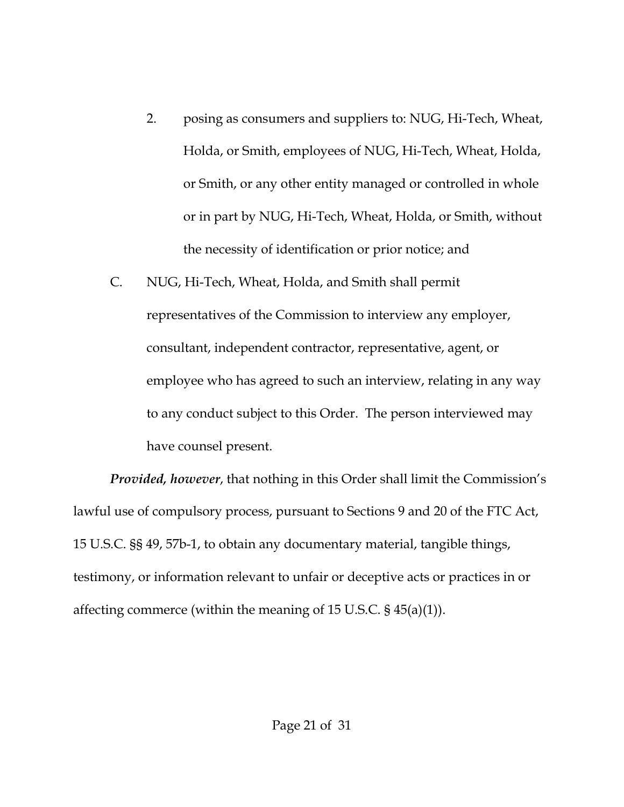- 2. posing as consumers and suppliers to: NUG, Hi-Tech, Wheat, Holda, or Smith, employees of NUG, Hi-Tech, Wheat, Holda, or Smith, or any other entity managed or controlled in whole or in part by NUG, Hi-Tech, Wheat, Holda, or Smith, without the necessity of identification or prior notice; and
- C. NUG, Hi-Tech, Wheat, Holda, and Smith shall permit representatives of the Commission to interview any employer, consultant, independent contractor, representative, agent, or employee who has agreed to such an interview, relating in any way to any conduct subject to this Order. The person interviewed may have counsel present.

*Provided, however*, that nothing in this Order shall limit the Commission's lawful use of compulsory process, pursuant to Sections 9 and 20 of the FTC Act, 15 U.S.C. §§ 49, 57b-1, to obtain any documentary material, tangible things, testimony, or information relevant to unfair or deceptive acts or practices in or affecting commerce (within the meaning of 15 U.S.C. § 45(a)(1)).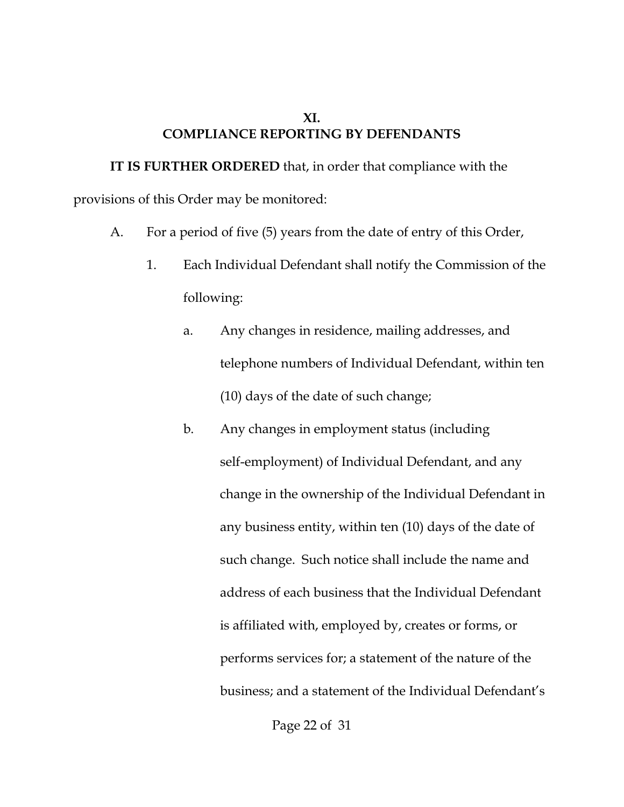#### **XI. COMPLIANCE REPORTING BY DEFENDANTS**

**IT IS FURTHER ORDERED** that, in order that compliance with the provisions of this Order may be monitored:

- A. For a period of five (5) years from the date of entry of this Order,
	- 1. Each Individual Defendant shall notify the Commission of the following:
		- a. Any changes in residence, mailing addresses, and telephone numbers of Individual Defendant, within ten (10) days of the date of such change;
		- b. Any changes in employment status (including self-employment) of Individual Defendant, and any change in the ownership of the Individual Defendant in any business entity, within ten (10) days of the date of such change. Such notice shall include the name and address of each business that the Individual Defendant is affiliated with, employed by, creates or forms, or performs services for; a statement of the nature of the business; and a statement of the Individual Defendant's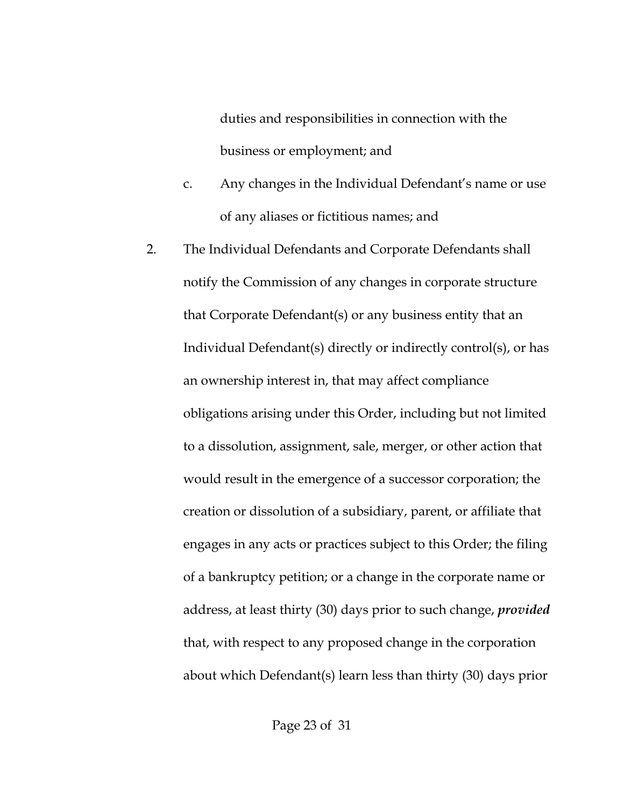duties and responsibilities in connection with the business or employment; and

- c. Any changes in the Individual Defendant's name or use of any aliases or fictitious names; and
- 2. The Individual Defendants and Corporate Defendants shall notify the Commission of any changes in corporate structure that Corporate Defendant(s) or any business entity that an Individual Defendant(s) directly or indirectly control(s), or has an ownership interest in, that may affect compliance obligations arising under this Order, including but not limited to a dissolution, assignment, sale, merger, or other action that would result in the emergence of a successor corporation; the creation or dissolution of a subsidiary, parent, or affiliate that engages in any acts or practices subject to this Order; the filing of a bankruptcy petition; or a change in the corporate name or address, at least thirty (30) days prior to such change, *provided* that, with respect to any proposed change in the corporation about which Defendant(s) learn less than thirty (30) days prior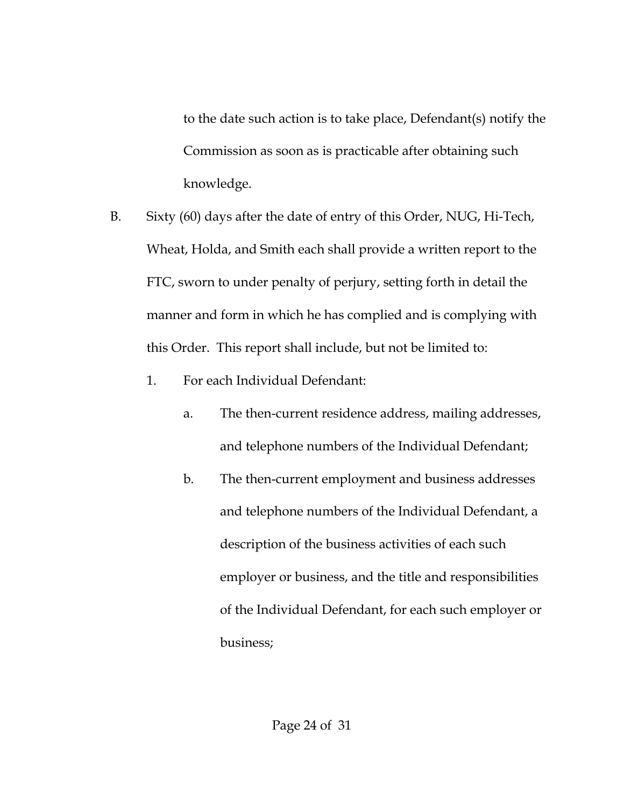to the date such action is to take place, Defendant(s) notify the Commission as soon as is practicable after obtaining such knowledge.

- B. Sixty (60) days after the date of entry of this Order, NUG, Hi-Tech, Wheat, Holda, and Smith each shall provide a written report to the FTC, sworn to under penalty of perjury, setting forth in detail the manner and form in which he has complied and is complying with this Order. This report shall include, but not be limited to:
	- 1. For each Individual Defendant:
		- a. The then-current residence address, mailing addresses, and telephone numbers of the Individual Defendant;
		- b. The then-current employment and business addresses and telephone numbers of the Individual Defendant, a description of the business activities of each such employer or business, and the title and responsibilities of the Individual Defendant, for each such employer or business;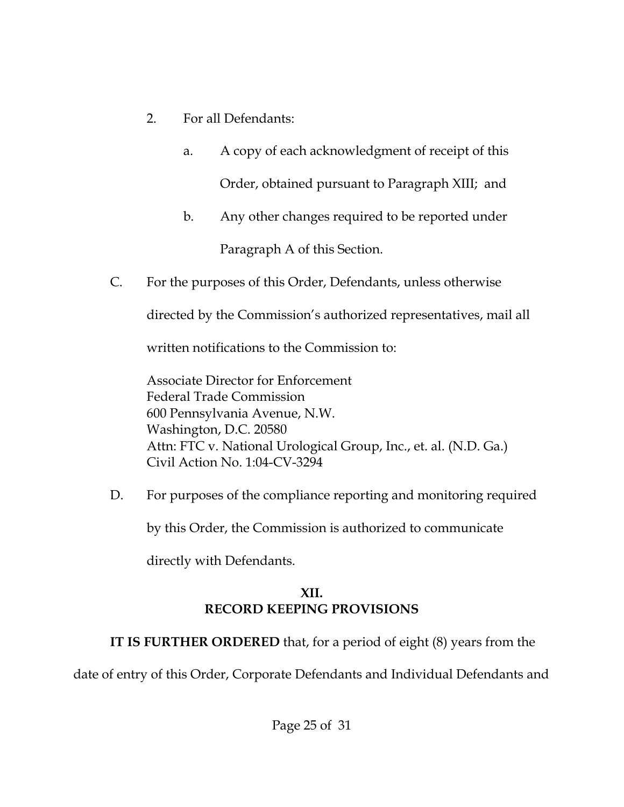- 2. For all Defendants:
	- a. A copy of each acknowledgment of receipt of this Order, obtained pursuant to Paragraph XIII; and
	- b. Any other changes required to be reported under Paragraph A of this Section.
- C. For the purposes of this Order, Defendants, unless otherwise

directed by the Commission's authorized representatives, mail all

written notifications to the Commission to:

Associate Director for Enforcement Federal Trade Commission 600 Pennsylvania Avenue, N.W. Washington, D.C. 20580 Attn: FTC v. National Urological Group, Inc., et. al. (N.D. Ga.) Civil Action No. 1:04-CV-3294

D. For purposes of the compliance reporting and monitoring required

by this Order, the Commission is authorized to communicate

directly with Defendants.

# **XII. RECORD KEEPING PROVISIONS**

**IT IS FURTHER ORDERED** that, for a period of eight (8) years from the

date of entry of this Order, Corporate Defendants and Individual Defendants and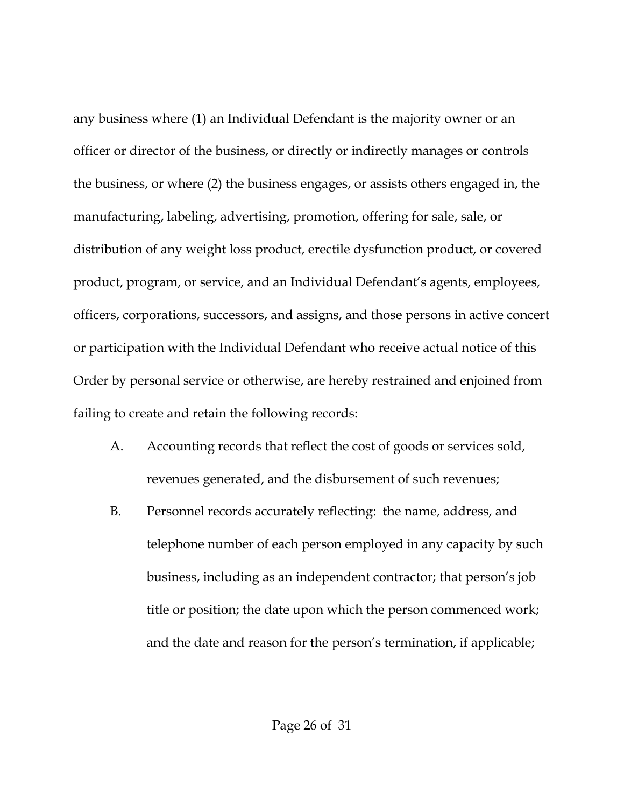any business where (1) an Individual Defendant is the majority owner or an officer or director of the business, or directly or indirectly manages or controls the business, or where (2) the business engages, or assists others engaged in, the manufacturing, labeling, advertising, promotion, offering for sale, sale, or distribution of any weight loss product, erectile dysfunction product, or covered product, program, or service, and an Individual Defendant's agents, employees, officers, corporations, successors, and assigns, and those persons in active concert or participation with the Individual Defendant who receive actual notice of this Order by personal service or otherwise, are hereby restrained and enjoined from failing to create and retain the following records:

- A. Accounting records that reflect the cost of goods or services sold, revenues generated, and the disbursement of such revenues;
- B. Personnel records accurately reflecting: the name, address, and telephone number of each person employed in any capacity by such business, including as an independent contractor; that person's job title or position; the date upon which the person commenced work; and the date and reason for the person's termination, if applicable;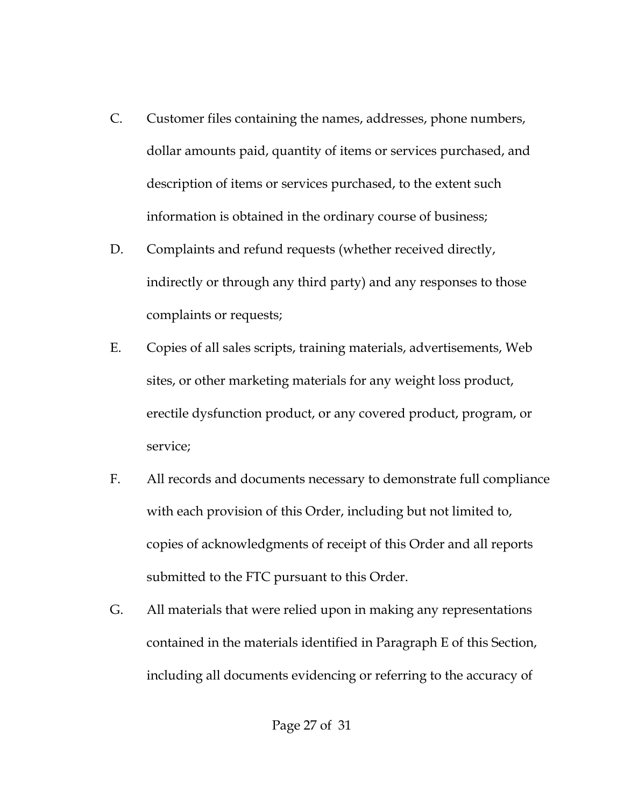- C. Customer files containing the names, addresses, phone numbers, dollar amounts paid, quantity of items or services purchased, and description of items or services purchased, to the extent such information is obtained in the ordinary course of business;
- D. Complaints and refund requests (whether received directly, indirectly or through any third party) and any responses to those complaints or requests;
- E. Copies of all sales scripts, training materials, advertisements, Web sites, or other marketing materials for any weight loss product, erectile dysfunction product, or any covered product, program, or service;
- F. All records and documents necessary to demonstrate full compliance with each provision of this Order, including but not limited to, copies of acknowledgments of receipt of this Order and all reports submitted to the FTC pursuant to this Order.
- G. All materials that were relied upon in making any representations contained in the materials identified in Paragraph E of this Section, including all documents evidencing or referring to the accuracy of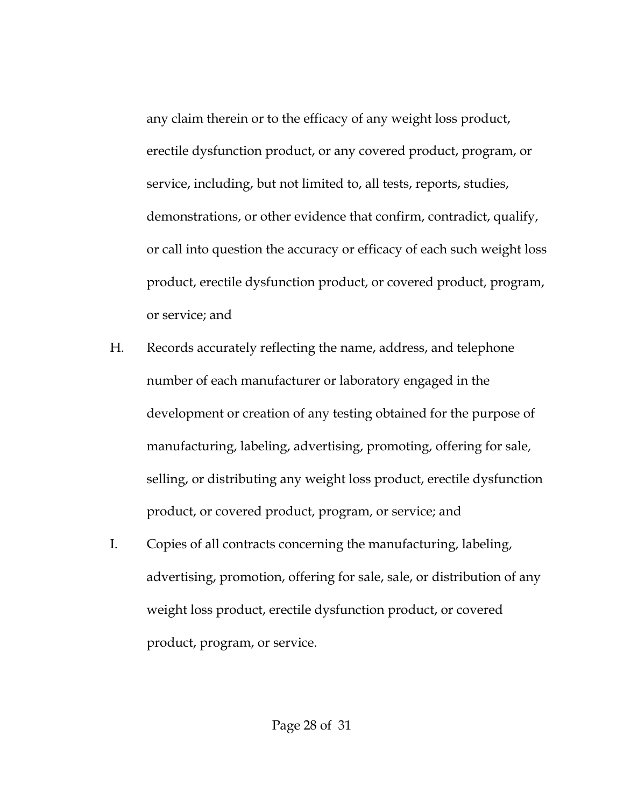any claim therein or to the efficacy of any weight loss product, erectile dysfunction product, or any covered product, program, or service, including, but not limited to, all tests, reports, studies, demonstrations, or other evidence that confirm, contradict, qualify, or call into question the accuracy or efficacy of each such weight loss product, erectile dysfunction product, or covered product, program, or service; and

- H. Records accurately reflecting the name, address, and telephone number of each manufacturer or laboratory engaged in the development or creation of any testing obtained for the purpose of manufacturing, labeling, advertising, promoting, offering for sale, selling, or distributing any weight loss product, erectile dysfunction product, or covered product, program, or service; and
- I. Copies of all contracts concerning the manufacturing, labeling, advertising, promotion, offering for sale, sale, or distribution of any weight loss product, erectile dysfunction product, or covered product, program, or service.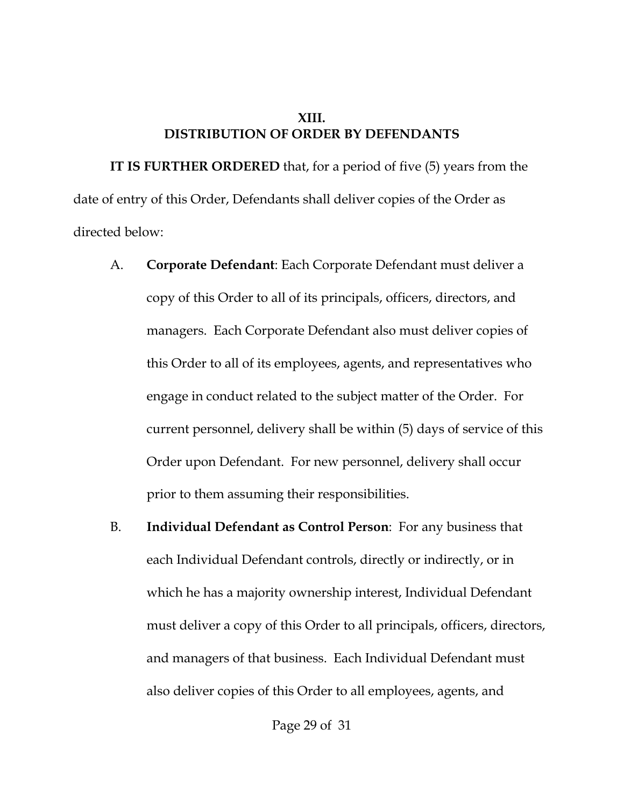#### **XIII. DISTRIBUTION OF ORDER BY DEFENDANTS**

**IT IS FURTHER ORDERED** that, for a period of five (5) years from the date of entry of this Order, Defendants shall deliver copies of the Order as directed below:

- A. **Corporate Defendant**: Each Corporate Defendant must deliver a copy of this Order to all of its principals, officers, directors, and managers. Each Corporate Defendant also must deliver copies of this Order to all of its employees, agents, and representatives who engage in conduct related to the subject matter of the Order. For current personnel, delivery shall be within (5) days of service of this Order upon Defendant. For new personnel, delivery shall occur prior to them assuming their responsibilities.
- B. **Individual Defendant as Control Person**: For any business that each Individual Defendant controls, directly or indirectly, or in which he has a majority ownership interest, Individual Defendant must deliver a copy of this Order to all principals, officers, directors, and managers of that business. Each Individual Defendant must also deliver copies of this Order to all employees, agents, and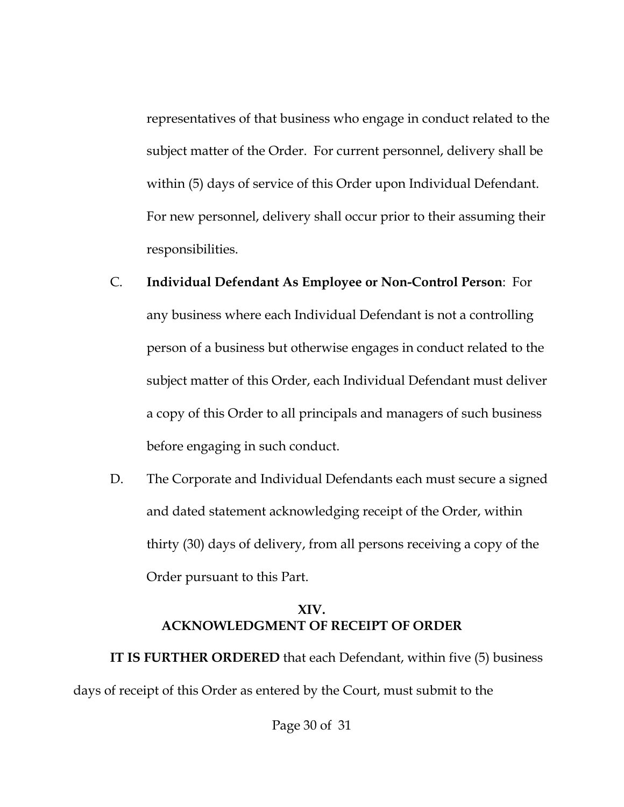representatives of that business who engage in conduct related to the subject matter of the Order. For current personnel, delivery shall be within (5) days of service of this Order upon Individual Defendant. For new personnel, delivery shall occur prior to their assuming their responsibilities.

- C. **Individual Defendant As Employee or Non-Control Person**: For any business where each Individual Defendant is not a controlling person of a business but otherwise engages in conduct related to the subject matter of this Order, each Individual Defendant must deliver a copy of this Order to all principals and managers of such business before engaging in such conduct.
- D. The Corporate and Individual Defendants each must secure a signed and dated statement acknowledging receipt of the Order, within thirty (30) days of delivery, from all persons receiving a copy of the Order pursuant to this Part.

## **XIV. ACKNOWLEDGMENT OF RECEIPT OF ORDER**

**IT IS FURTHER ORDERED** that each Defendant, within five (5) business days of receipt of this Order as entered by the Court, must submit to the